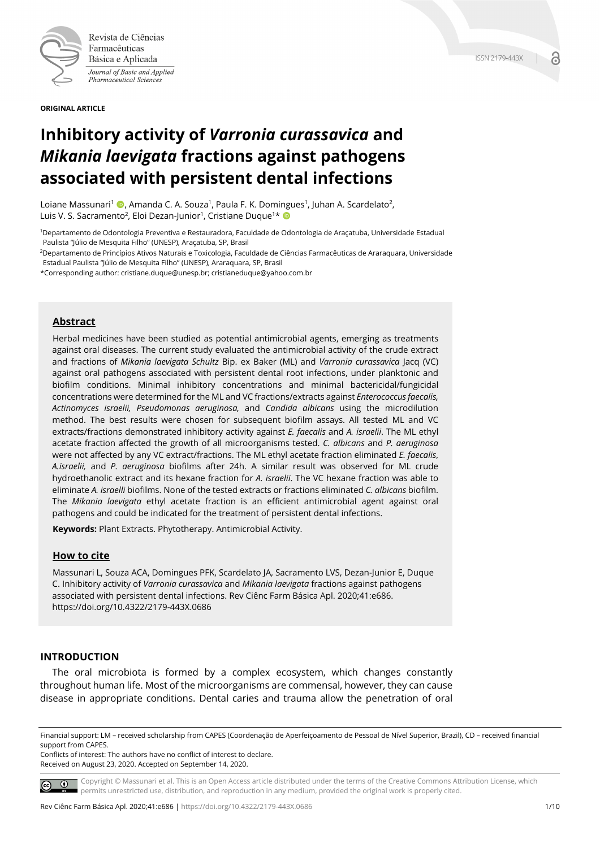

Revista de Ciências Farmacêuticas Básica e Aplicada Journal of Basic and Applied Pharmaceutical Sciences

**ORIGINAL ARTICLE**

# **Inhibitory activity of** *Varronia curassavica* **and**  *Mikania laevigata* **fractions against pathogens associated with persistent dental infections**

Loiane Massunari<sup>1</sup> (D, Amanda C. A. Souza<sup>1</sup>, Paula F. K. Domingues<sup>1</sup>, Juhan A. Scardelato<sup>2</sup>, Luis V. S. Sacramento<sup>2</sup>, Eloi Dezan-Junior<sup>1</sup>, Cristiane Duque<sup>1\*</sup>

1Departamento de Odontologia Preventiva e Restauradora, Faculdade de Odontologia de Araçatuba, Universidade Estadual Paulista "Júlio de Mesquita Filho" (UNESP), Araçatuba, SP, Brasil

2Departamento de Princípios Ativos Naturais e Toxicologia, Faculdade de Ciências Farmacêuticas de Araraquara, Universidade Estadual Paulista "Júlio de Mesquita Filho" (UNESP), Araraquara, SP, Brasil

\*Corresponding author: cristiane.duque@unesp.br; cristianeduque@yahoo.com.br

### **Abstract**

Herbal medicines have been studied as potential antimicrobial agents, emerging as treatments against oral diseases. The current study evaluated the antimicrobial activity of the crude extract and fractions of *Mikania laevigata Schultz* Bip. ex Baker (ML) and *Varronia curassavica* Jacq (VC) against oral pathogens associated with persistent dental root infections, under planktonic and biofilm conditions. Minimal inhibitory concentrations and minimal bactericidal/fungicidal concentrations were determined for the ML and VC fractions/extracts against *Enterococcus faecalis, Actinomyces israelii, Pseudomonas aeruginosa,* and *Candida albicans* using the microdilution method. The best results were chosen for subsequent biofilm assays. All tested ML and VC extracts/fractions demonstrated inhibitory activity against *E. faecalis* and *A. israelii*. The ML ethyl acetate fraction affected the growth of all microorganisms tested. *C. albicans* and *P. aeruginosa* were not affected by any VC extract/fractions. The ML ethyl acetate fraction eliminated *E. faecalis*, *A.israelii,* and *P. aeruginosa* biofilms after 24h. A similar result was observed for ML crude hydroethanolic extract and its hexane fraction for *A. israelii*. The VC hexane fraction was able to eliminate *A. israelli* biofilms. None of the tested extracts or fractions eliminated *C. albicans* biofilm. The *Mikania laevigata* ethyl acetate fraction is an efficient antimicrobial agent against oral pathogens and could be indicated for the treatment of persistent dental infections.

**Keywords:** Plant Extracts. Phytotherapy. Antimicrobial Activity.

#### **How to cite**

Massunari L, Souza ACA, Domingues PFK, Scardelato JA, Sacramento LVS, Dezan-Junior E, Duque C. Inhibitory activity of *Varronia curassavica* and *Mikania laevigata* fractions against pathogens associated with persistent dental infections. Rev Ciênc Farm Básica Apl. 2020;41:e686. https://doi.org/10.4322/2179-443X.0686

### **INTRODUCTION**

The oral microbiota is formed by a complex ecosystem, which changes constantly throughout human life. Most of the microorganisms are commensal, however, they can cause disease in appropriate conditions. Dental caries and trauma allow the penetration of oral

Conflicts of interest: The authors have no conflict of interest to declare. Received on August 23, 2020. Accepted on September 14, 2020.

Copyright © Massunari et al. This is an Open Access article distributed under the terms of the Creative Commons Attribution License, which permits unrestricted use, distribution, and reproduction in any medium, provided the original work is properly cited.

Financial support: LM – received scholarship from CAPES (Coordenação de Aperfeiçoamento de Pessoal de Nível Superior, Brazil), CD – received financial support from CAPES.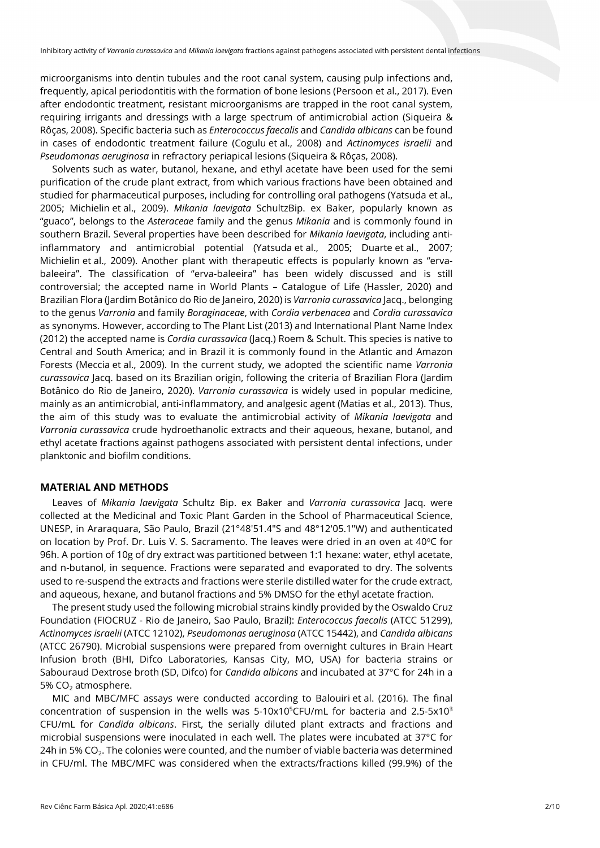microorganisms into dentin tubules and the root canal system, causing pulp infections and, frequently, apical periodontitis with the formation of bone lesions (Persoon et al., 2017). Even after endodontic treatment, resistant microorganisms are trapped in the root canal system, requiring irrigants and dressings with a large spectrum of antimicrobial action (Siqueira & Rôças, 2008). Specific bacteria such as *Enterococcus faecalis* and *Candida albicans* can be found in cases of endodontic treatment failure (Cogulu et al., 2008) and *Actinomyces israelii* and *Pseudomonas aeruginosa* in refractory periapical lesions (Siqueira & Rôças, 2008).

Solvents such as water, butanol, hexane, and ethyl acetate have been used for the semi purification of the crude plant extract, from which various fractions have been obtained and studied for pharmaceutical purposes, including for controlling oral pathogens (Yatsuda et al., 2005; Michielin et al., 2009). *Mikania laevigata* SchultzBip. ex Baker, popularly known as "guaco", belongs to the *Asteraceae* family and the genus *Mikania* and is commonly found in southern Brazil. Several properties have been described for *Mikania laevigata*, including antiinflammatory and antimicrobial potential (Yatsuda et al., 2005; Duarte et al., 2007; Michielin et al., 2009). Another plant with therapeutic effects is popularly known as "ervabaleeira". The classification of "erva-baleeira" has been widely discussed and is still controversial; the accepted name in World Plants – Catalogue of Life (Hassler, 2020) and Brazilian Flora (Jardim Botânico do Rio de Janeiro, 2020) is *Varronia curassavica* Jacq., belonging to the genus *Varronia* and family *Boraginaceae*, with *Cordia verbenacea* and *Cordia curassavica* as synonyms. However, according to The Plant List (2013) and International Plant Name Index (2012) the accepted name is *Cordia curassavica* (Jacq.) Roem & Schult. This species is native to Central and South America; and in Brazil it is commonly found in the Atlantic and Amazon Forests (Meccia et al., 2009). In the current study, we adopted the scientific name *Varronia curassavica* Jacq. based on its Brazilian origin, following the criteria of Brazilian Flora (Jardim Botânico do Rio de Janeiro, 2020). *Varronia curassavica* is widely used in popular medicine, mainly as an antimicrobial, anti-inflammatory, and analgesic agent (Matias et al., 2013). Thus, the aim of this study was to evaluate the antimicrobial activity of *Mikania laevigata* and *Varronia curassavica* crude hydroethanolic extracts and their aqueous, hexane, butanol, and ethyl acetate fractions against pathogens associated with persistent dental infections, under planktonic and biofilm conditions.

#### **MATERIAL AND METHODS**

Leaves of *Mikania laevigata* Schultz Bip. ex Baker and *Varronia curassavica* Jacq. were collected at the Medicinal and Toxic Plant Garden in the School of Pharmaceutical Science, UNESP, in Araraquara, São Paulo, Brazil (21°48′51.4″S and 48°12′05.1″W) and authenticated on location by Prof. Dr. Luis V. S. Sacramento. The leaves were dried in an oven at  $40^{\circ}$ C for 96h. A portion of 10g of dry extract was partitioned between 1:1 hexane: water, ethyl acetate, and n-butanol, in sequence. Fractions were separated and evaporated to dry. The solvents used to re-suspend the extracts and fractions were sterile distilled water for the crude extract, and aqueous, hexane, and butanol fractions and 5% DMSO for the ethyl acetate fraction.

The present study used the following microbial strains kindly provided by the Oswaldo Cruz Foundation (FIOCRUZ - Rio de Janeiro, Sao Paulo, Brazil): *Enterococcus faecalis* (ATCC 51299), *Actinomyces israelii* (ATCC 12102), *Pseudomonas aeruginosa* (ATCC 15442), and *Candida albicans* (ATCC 26790). Microbial suspensions were prepared from overnight cultures in Brain Heart Infusion broth (BHI, Difco Laboratories, Kansas City, MO, USA) for bacteria strains or Sabouraud Dextrose broth (SD, Difco) for *Candida albicans* and incubated at 37°C for 24h in a 5%  $CO<sub>2</sub>$  atmosphere.

MIC and MBC/MFC assays were conducted according to Balouiri et al. (2016). The final concentration of suspension in the wells was 5-10x10<sup>5</sup>CFU/mL for bacteria and 2.5-5x10<sup>3</sup> CFU/mL for *Candida albicans*. First, the serially diluted plant extracts and fractions and microbial suspensions were inoculated in each well. The plates were incubated at 37°C for 24h in 5% CO<sub>2</sub>. The colonies were counted, and the number of viable bacteria was determined in CFU/ml. The MBC/MFC was considered when the extracts/fractions killed (99.9%) of the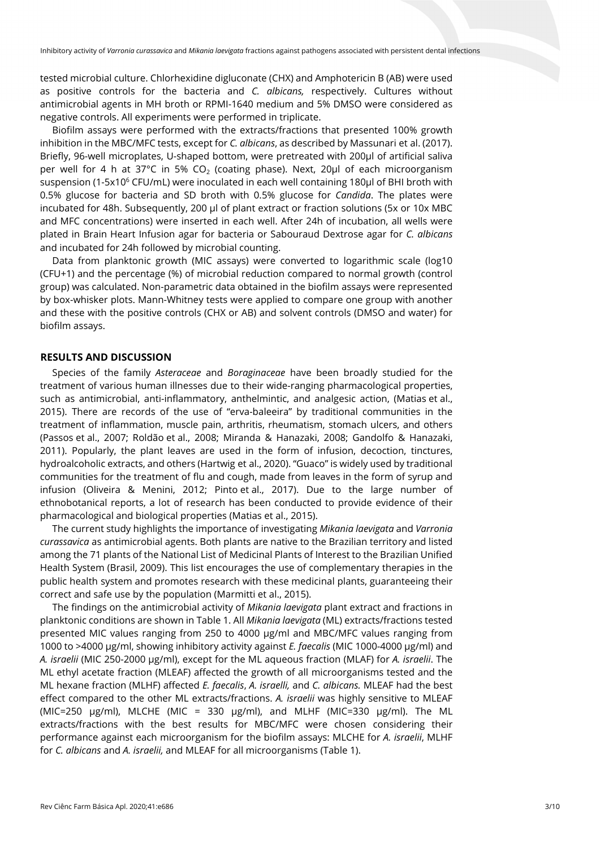tested microbial culture. Chlorhexidine digluconate (CHX) and Amphotericin B (AB) were used as positive controls for the bacteria and *C. albicans,* respectively. Cultures without antimicrobial agents in MH broth or RPMI-1640 medium and 5% DMSO were considered as negative controls. All experiments were performed in triplicate.

Biofilm assays were performed with the extracts/fractions that presented 100% growth inhibition in the MBC/MFC tests, except for *C. albicans*, as described by Massunari et al. (2017). Briefly, 96-well microplates, U-shaped bottom, were pretreated with 200µl of artificial saliva per well for 4 h at 37°C in 5% CO<sub>2</sub> (coating phase). Next, 20 $\mu$ l of each microorganism suspension (1-5x10<sup>6</sup> CFU/mL) were inoculated in each well containing 180µl of BHI broth with 0.5% glucose for bacteria and SD broth with 0.5% glucose for *Candida*. The plates were incubated for 48h. Subsequently, 200 µl of plant extract or fraction solutions (5x or 10x MBC and MFC concentrations) were inserted in each well. After 24h of incubation, all wells were plated in Brain Heart Infusion agar for bacteria or Sabouraud Dextrose agar for *C. albicans* and incubated for 24h followed by microbial counting.

Data from planktonic growth (MIC assays) were converted to logarithmic scale (log10 (CFU+1) and the percentage (%) of microbial reduction compared to normal growth (control group) was calculated. Non-parametric data obtained in the biofilm assays were represented by box-whisker plots. Mann-Whitney tests were applied to compare one group with another and these with the positive controls (CHX or AB) and solvent controls (DMSO and water) for biofilm assays.

#### **RESULTS AND DISCUSSION**

Species of the family *Asteraceae* and *Boraginaceae* have been broadly studied for the treatment of various human illnesses due to their wide-ranging pharmacological properties, such as antimicrobial, anti-inflammatory, anthelmintic, and analgesic action, (Matias et al., 2015). There are records of the use of "erva-baleeira" by traditional communities in the treatment of inflammation, muscle pain, arthritis, rheumatism, stomach ulcers, and others (Passos et al., 2007; Roldão et al., 2008; Miranda & Hanazaki, 2008; Gandolfo & Hanazaki, 2011). Popularly, the plant leaves are used in the form of infusion, decoction, tinctures, hydroalcoholic extracts, and others (Hartwig et al., 2020). "Guaco" is widely used by traditional communities for the treatment of flu and cough, made from leaves in the form of syrup and infusion (Oliveira & Menini, 2012; Pinto et al., 2017). Due to the large number of ethnobotanical reports, a lot of research has been conducted to provide evidence of their pharmacological and biological properties (Matias et al., 2015).

The current study highlights the importance of investigating *Mikania laevigata* and *Varronia curassavica* as antimicrobial agents. Both plants are native to the Brazilian territory and listed among the 71 plants of the National List of Medicinal Plants of Interest to the Brazilian Unified Health System (Brasil, 2009). This list encourages the use of complementary therapies in the public health system and promotes research with these medicinal plants, guaranteeing their correct and safe use by the population (Marmitti et al., 2015).

The findings on the antimicrobial activity of *Mikania laevigata* plant extract and fractions in planktonic conditions are shown in Table 1. All *Mikania laevigata* (ML) extracts/fractions tested presented MIC values ranging from 250 to 4000 µg/ml and MBC/MFC values ranging from 1000 to >4000 µg/ml, showing inhibitory activity against *E. faecalis* (MIC 1000-4000 µg/ml) and *A. israelii* (MIC 250-2000 µg/ml), except for the ML aqueous fraction (MLAF) for *A. israelii*. The ML ethyl acetate fraction (MLEAF) affected the growth of all microorganisms tested and the ML hexane fraction (MLHF) affected *E. faecalis*, *A. israelli,* and *C. albicans.* MLEAF had the best effect compared to the other ML extracts/fractions. *A. israelii* was highly sensitive to MLEAF (MIC=250  $\mu$ g/ml), MLCHE (MIC = 330  $\mu$ g/ml), and MLHF (MIC=330  $\mu$ g/ml). The ML extracts/fractions with the best results for MBC/MFC were chosen considering their performance against each microorganism for the biofilm assays: MLCHE for *A. israelii*, MLHF for *C. albicans* and *A. israelii,* and MLEAF for all microorganisms (Table 1).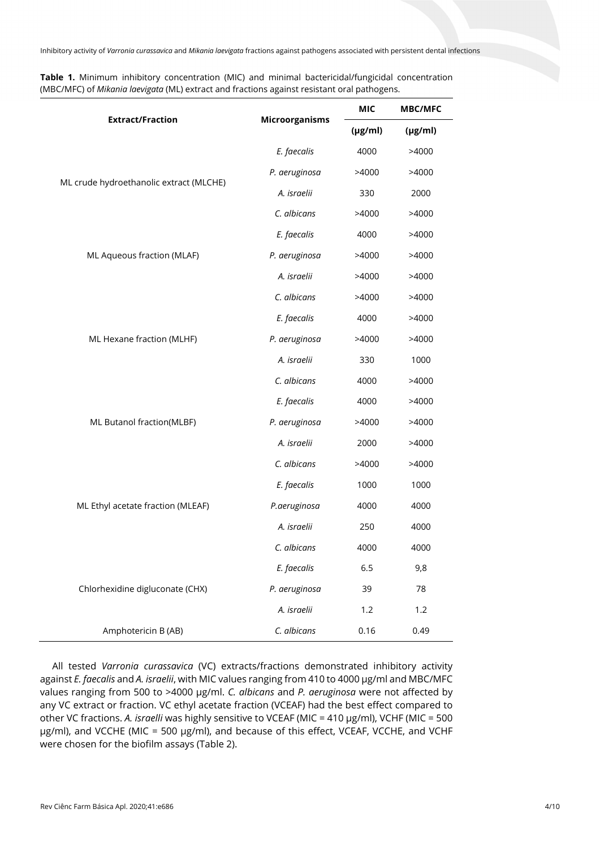**Table 1.** Minimum inhibitory concentration (MIC) and minimal bactericidal/fungicidal concentration (MBC/MFC) of *Mikania laevigata* (ML) extract and fractions against resistant oral pathogens.

|                                         |                       | <b>MIC</b>   | <b>MBC/MFC</b> |
|-----------------------------------------|-----------------------|--------------|----------------|
| <b>Extract/Fraction</b>                 | <b>Microorganisms</b> | $(\mu g/ml)$ | $(\mu g/ml)$   |
| ML crude hydroethanolic extract (MLCHE) | E. faecalis           | 4000         | >4000          |
|                                         | P. aeruginosa         | >4000        | >4000          |
|                                         | A. israelii           | 330          | 2000           |
|                                         | C. albicans           | >4000        | >4000          |
| ML Aqueous fraction (MLAF)              | E. faecalis           | 4000         | >4000          |
|                                         | P. aeruginosa         | >4000        | >4000          |
|                                         | A. israelii           | >4000        | >4000          |
| ML Hexane fraction (MLHF)               | C. albicans           | >4000        | >4000          |
|                                         | E. faecalis           | 4000         | >4000          |
|                                         | P. aeruginosa         | >4000        | >4000          |
|                                         | A. israelii           | 330          | 1000           |
|                                         | C. albicans           | 4000         | >4000          |
|                                         | E. faecalis           | 4000         | >4000          |
| ML Butanol fraction(MLBF)               | P. aeruginosa         | >4000        | >4000          |
|                                         | A. israelii           | 2000         | >4000          |
| ML Ethyl acetate fraction (MLEAF)       | C. albicans           | >4000        | >4000          |
|                                         | E. faecalis           | 1000         | 1000           |
|                                         | P.aeruginosa          | 4000         | 4000           |
|                                         | A. israelii           | 250          | 4000           |
|                                         | C. albicans           | 4000         | 4000           |
| Chlorhexidine digluconate (CHX)         | E. faecalis           | 6.5          | 9,8            |
|                                         | P. aeruginosa         | 39           | 78             |
|                                         | A. israelii           | 1.2          | 1.2            |
| Amphotericin B (AB)                     | C. albicans           | 0.16         | 0.49           |

All tested *Varronia curassavica* (VC) extracts/fractions demonstrated inhibitory activity against *E. faecalis* and *A. israelii*, with MIC values ranging from 410 to 4000 µg/ml and MBC/MFC values ranging from 500 to >4000 µg/ml. *C. albicans* and *P. aeruginosa* were not affected by any VC extract or fraction. VC ethyl acetate fraction (VCEAF) had the best effect compared to other VC fractions. *A. israelli* was highly sensitive to VCEAF (MIC = 410 µg/ml), VCHF (MIC = 500 µg/ml), and VCCHE (MIC = 500 µg/ml), and because of this effect, VCEAF, VCCHE, and VCHF were chosen for the biofilm assays (Table 2).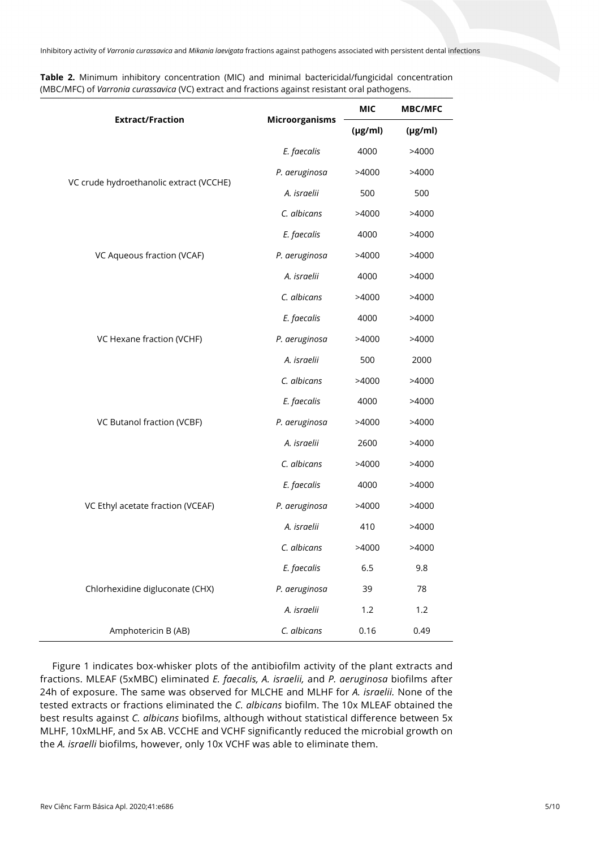**Table 2.** Minimum inhibitory concentration (MIC) and minimal bactericidal/fungicidal concentration (MBC/MFC) of *Varronia curassavica* (VC) extract and fractions against resistant oral pathogens.

| <b>Extract/Fraction</b>                 | <b>Microorganisms</b> | <b>MIC</b>   | <b>MBC/MFC</b> |
|-----------------------------------------|-----------------------|--------------|----------------|
|                                         |                       | $(\mu g/ml)$ | $(\mu g/ml)$   |
| VC crude hydroethanolic extract (VCCHE) | E. faecalis           | 4000         | >4000          |
|                                         | P. aeruginosa         | >4000        | >4000          |
|                                         | A. israelii           | 500          | 500            |
|                                         | C. albicans           | >4000        | >4000          |
| VC Aqueous fraction (VCAF)              | E. faecalis           | 4000         | >4000          |
|                                         | P. aeruginosa         | >4000        | >4000          |
|                                         | A. israelii           | 4000         | >4000          |
| VC Hexane fraction (VCHF)               | C. albicans           | >4000        | >4000          |
|                                         | E. faecalis           | 4000         | >4000          |
|                                         | P. aeruginosa         | >4000        | >4000          |
|                                         | A. israelii           | 500          | 2000           |
|                                         | C. albicans           | >4000        | >4000          |
| VC Butanol fraction (VCBF)              | E. faecalis           | 4000         | >4000          |
|                                         | P. aeruginosa         | >4000        | >4000          |
|                                         | A. israelii           | 2600         | >4000          |
| VC Ethyl acetate fraction (VCEAF)       | C. albicans           | >4000        | >4000          |
|                                         | E. faecalis           | 4000         | >4000          |
|                                         | P. aeruginosa         | >4000        | >4000          |
|                                         | A. israelii           | 410          | >4000          |
|                                         | C. albicans           | >4000        | >4000          |
| Chlorhexidine digluconate (CHX)         | E. faecalis           | 6.5          | 9.8            |
|                                         | P. aeruginosa         | 39           | 78             |
|                                         | A. israelii           | 1.2          | 1.2            |
| Amphotericin B (AB)                     | C. albicans           | 0.16         | 0.49           |

Figure 1 indicates box-whisker plots of the antibiofilm activity of the plant extracts and fractions. MLEAF (5xMBC) eliminated *E. faecalis, A. israelii,* and *P. aeruginosa* biofilms after 24h of exposure. The same was observed for MLCHE and MLHF for *A. israelii.* None of the tested extracts or fractions eliminated the *C. albicans* biofilm. The 10x MLEAF obtained the best results against *C. albicans* biofilms, although without statistical difference between 5x MLHF, 10xMLHF, and 5x AB. VCCHE and VCHF significantly reduced the microbial growth on the *A. israelli* biofilms, however, only 10x VCHF was able to eliminate them.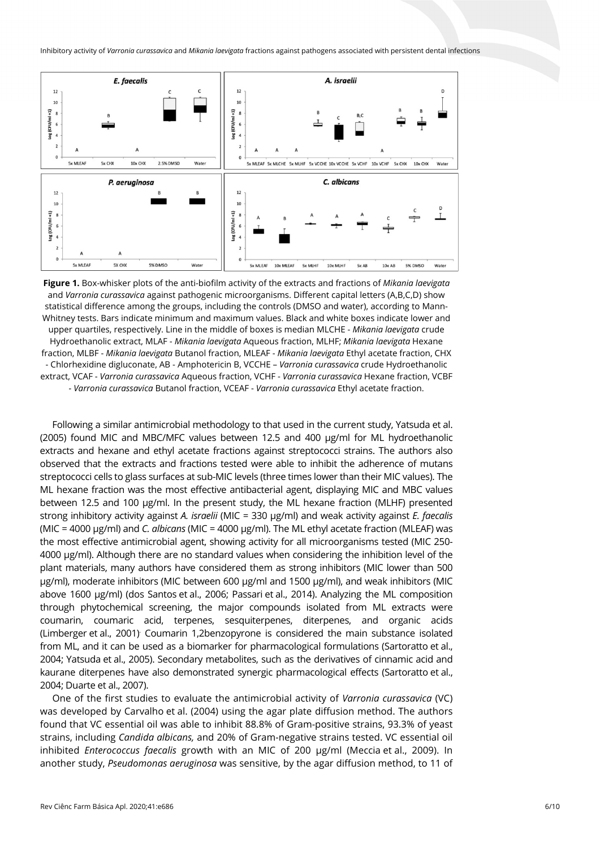

**Figure 1.** Box-whisker plots of the anti-biofilm activity of the extracts and fractions of *Mikania laevigata* and *Varronia curassavica* against pathogenic microorganisms. Different capital letters (A,B,C,D) show statistical difference among the groups, including the controls (DMSO and water), according to Mann-Whitney tests. Bars indicate minimum and maximum values. Black and white boxes indicate lower and upper quartiles, respectively. Line in the middle of boxes is median MLCHE - *Mikania laevigata* crude Hydroethanolic extract, MLAF - *Mikania laevigata* Aqueous fraction, MLHF; *Mikania laevigata* Hexane fraction, MLBF - *Mikania laevigata* Butanol fraction, MLEAF - *Mikania laevigata* Ethyl acetate fraction, CHX - Chlorhexidine digluconate, AB - Amphotericin B, VCCHE – *Varronia curassavica* crude Hydroethanolic extract, VCAF - *Varronia curassavica* Aqueous fraction, VCHF - *Varronia curassavica* Hexane fraction, VCBF *- Varronia curassavica* Butanol fraction, VCEAF - *Varronia curassavica* Ethyl acetate fraction.

Following a similar antimicrobial methodology to that used in the current study, Yatsuda et al. (2005) found MIC and MBC/MFC values between 12.5 and 400 µg/ml for ML hydroethanolic extracts and hexane and ethyl acetate fractions against streptococci strains. The authors also observed that the extracts and fractions tested were able to inhibit the adherence of mutans streptococci cells to glass surfaces at sub-MIC levels (three times lower than their MIC values). The ML hexane fraction was the most effective antibacterial agent, displaying MIC and MBC values between 12.5 and 100 µg/ml. In the present study, the ML hexane fraction (MLHF) presented strong inhibitory activity against *A. israelii* (MIC = 330 µg/ml) and weak activity against *E. faecalis* (MIC = 4000 µg/ml) and *C. albicans* (MIC = 4000 µg/ml). The ML ethyl acetate fraction (MLEAF) was the most effective antimicrobial agent, showing activity for all microorganisms tested (MIC 250- 4000 µg/ml). Although there are no standard values when considering the inhibition level of the plant materials, many authors have considered them as strong inhibitors (MIC lower than 500 µg/ml), moderate inhibitors (MIC between 600 µg/ml and 1500 µg/ml), and weak inhibitors (MIC above 1600 µg/ml) (dos Santos et al., 2006; Passari et al., 2014). Analyzing the ML composition through phytochemical screening, the major compounds isolated from ML extracts were coumarin, coumaric acid, terpenes, sesquiterpenes, diterpenes, and organic acids (Limberger et al., 2001) . Coumarin 1,2benzopyrone is considered the main substance isolated from ML, and it can be used as a biomarker for pharmacological formulations (Sartoratto et al., 2004; Yatsuda et al., 2005). Secondary metabolites, such as the derivatives of cinnamic acid and kaurane diterpenes have also demonstrated synergic pharmacological effects (Sartoratto et al., 2004; Duarte et al., 2007).

One of the first studies to evaluate the antimicrobial activity of *Varronia curassavica* (VC) was developed by Carvalho et al. (2004) using the agar plate diffusion method. The authors found that VC essential oil was able to inhibit 88.8% of Gram-positive strains, 93.3% of yeast strains, including *Candida albicans,* and 20% of Gram-negative strains tested. VC essential oil inhibited *Enterococcus faecalis* growth with an MIC of 200 µg/ml (Meccia et al., 2009). In another study, *Pseudomonas aeruginosa* was sensitive, by the agar diffusion method, to 11 of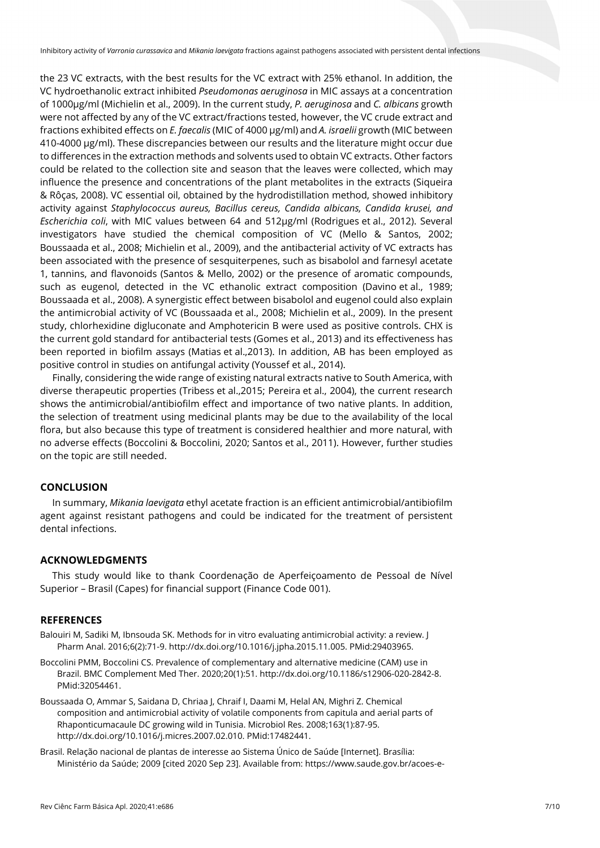the 23 VC extracts, with the best results for the VC extract with 25% ethanol. In addition, the VC hydroethanolic extract inhibited *Pseudomonas aeruginosa* in MIC assays at a concentration of 1000µg/ml (Michielin et al., 2009). In the current study, *P. aeruginosa* and *C. albicans* growth were not affected by any of the VC extract/fractions tested, however, the VC crude extract and fractions exhibited effects on *E. faecalis* (MIC of 4000 µg/ml) and *A. israelii* growth (MIC between 410-4000 µg/ml). These discrepancies between our results and the literature might occur due to differences in the extraction methods and solvents used to obtain VC extracts. Other factors could be related to the collection site and season that the leaves were collected, which may influence the presence and concentrations of the plant metabolites in the extracts (Siqueira & Rôças, 2008). VC essential oil, obtained by the hydrodistillation method, showed inhibitory activity against *Staphylococcus aureus, Bacillus cereus, Candida albicans, Candida krusei, and Escherichia coli*, with MIC values between 64 and 512μg/ml (Rodrigues et al., 2012). Several investigators have studied the chemical composition of VC (Mello & Santos, 2002; Boussaada et al., 2008; Michielin et al., 2009), and the antibacterial activity of VC extracts has been associated with the presence of sesquiterpenes, such as bisabolol and farnesyl acetate 1, tannins, and flavonoids (Santos & Mello, 2002) or the presence of aromatic compounds, such as eugenol, detected in the VC ethanolic extract composition (Davino et al., 1989; Boussaada et al., 2008). A synergistic effect between bisabolol and eugenol could also explain the antimicrobial activity of VC (Boussaada et al., 2008; Michielin et al., 2009). In the present study, chlorhexidine digluconate and Amphotericin B were used as positive controls. CHX is the current gold standard for antibacterial tests (Gomes et al., 2013) and its effectiveness has been reported in biofilm assays (Matias et al.,2013). In addition, AB has been employed as positive control in studies on antifungal activity (Youssef et al., 2014).

Finally, considering the wide range of existing natural extracts native to South America, with diverse therapeutic properties (Tribess et al.,2015; Pereira et al., 2004), the current research shows the antimicrobial/antibiofilm effect and importance of two native plants. In addition, the selection of treatment using medicinal plants may be due to the availability of the local flora, but also because this type of treatment is considered healthier and more natural, with no adverse effects (Boccolini & Boccolini, 2020; Santos et al., 2011). However, further studies on the topic are still needed.

## **CONCLUSION**

In summary, *Mikania laevigata* ethyl acetate fraction is an efficient antimicrobial/antibiofilm agent against resistant pathogens and could be indicated for the treatment of persistent dental infections.

### **ACKNOWLEDGMENTS**

This study would like to thank Coordenação de Aperfeiçoamento de Pessoal de Nível Superior – Brasil (Capes) for financial support (Finance Code 001).

### **REFERENCES**

- Balouiri M, Sadiki M, Ibnsouda SK. Methods for in vitro evaluating antimicrobial activity: a review. J Pharm Anal. 2016;6(2):71-9. [http://dx.doi.org/10.1016/j.jpha.2015.11.005.](https://doi.org/10.1016/j.jpha.2015.11.005) [PMid:29403965.](https://www.ncbi.nlm.nih.gov/entrez/query.fcgi?cmd=Retrieve&db=PubMed&list_uids=29403965&dopt=Abstract)
- Boccolini PMM, Boccolini CS. Prevalence of complementary and alternative medicine (CAM) use in Brazil. BMC Complement Med Ther. 2020;20(1):51. [http://dx.doi.org/10.1186/s12906-020-2842-8.](https://doi.org/10.1186/s12906-020-2842-8) [PMid:32054461.](https://www.ncbi.nlm.nih.gov/entrez/query.fcgi?cmd=Retrieve&db=PubMed&list_uids=32054461&dopt=Abstract)
- Boussaada O, Ammar S, Saidana D, Chriaa J, Chraif I, Daami M, Helal AN, Mighri Z. Chemical composition and antimicrobial activity of volatile components from capitula and aerial parts of Rhaponticumacaule DC growing wild in Tunisia. Microbiol Res. 2008;163(1):87-95. [http://dx.doi.org/10.1016/j.micres.2007.02.010.](https://doi.org/10.1016/j.micres.2007.02.010) [PMid:17482441.](https://www.ncbi.nlm.nih.gov/entrez/query.fcgi?cmd=Retrieve&db=PubMed&list_uids=17482441&dopt=Abstract)
- Brasil. Relação nacional de plantas de interesse ao Sistema Único de Saúde [Internet]. Brasília: Ministério da Saúde; 2009 [cited 2020 Sep 23]. Available from: https://www.saude.gov.br/acoes-e-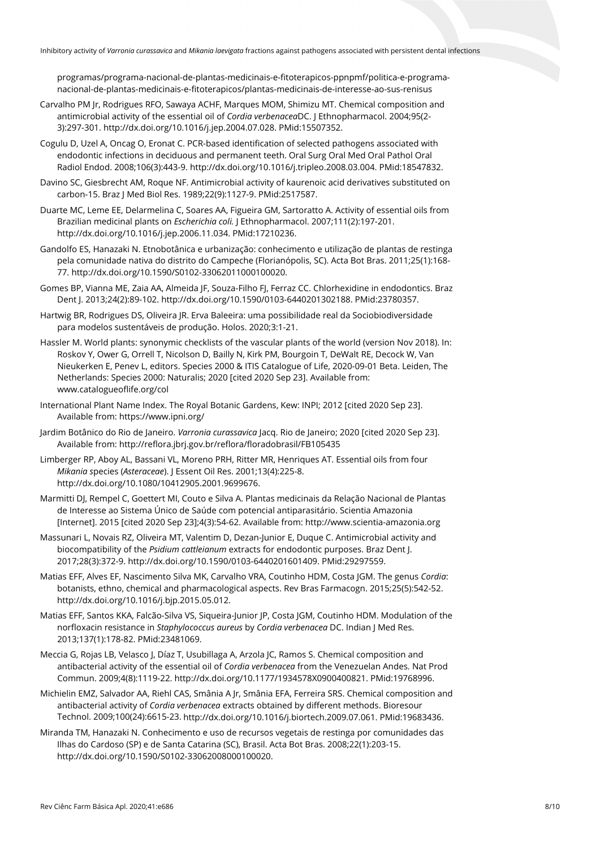programas/programa-nacional-de-plantas-medicinais-e-fitoterapicos-ppnpmf/politica-e-programanacional-de-plantas-medicinais-e-fitoterapicos/plantas-medicinais-de-interesse-ao-sus-renisus

- Carvalho PM Jr, Rodrigues RFO, Sawaya ACHF, Marques MOM, Shimizu MT. Chemical composition and antimicrobial activity of the essential oil of *Cordia verbenacea*DC. J Ethnopharmacol. 2004;95(2- 3):297-301[. http://dx.doi.org/10.1016/j.jep.2004.07.028.](https://doi.org/10.1016/j.jep.2004.07.028) [PMid:15507352.](https://www.ncbi.nlm.nih.gov/entrez/query.fcgi?cmd=Retrieve&db=PubMed&list_uids=15507352&dopt=Abstract)
- Cogulu D, Uzel A, Oncag O, Eronat C. PCR-based identification of selected pathogens associated with endodontic infections in deciduous and permanent teeth. Oral Surg Oral Med Oral Pathol Oral Radiol Endod. 2008;106(3):443-9[. http://dx.doi.org/10.1016/j.tripleo.2008.03.004.](https://doi.org/10.1016/j.tripleo.2008.03.004) [PMid:18547832.](https://www.ncbi.nlm.nih.gov/entrez/query.fcgi?cmd=Retrieve&db=PubMed&list_uids=18547832&dopt=Abstract)
- Davino SC, Giesbrecht AM, Roque NF. Antimicrobial activity of kaurenoic acid derivatives substituted on carbon-15. Braz J Med Biol Res. 1989;22(9):1127-9. [PMid:2517587.](https://www.ncbi.nlm.nih.gov/entrez/query.fcgi?cmd=Retrieve&db=PubMed&list_uids=2517587&dopt=Abstract)
- Duarte MC, Leme EE, Delarmelina C, Soares AA, Figueira GM, Sartoratto A. Activity of essential oils from Brazilian medicinal plants on *Escherichia coli.* J Ethnopharmacol. 2007;111(2):197-201. [http://dx.doi.org/10.1016/j.jep.2006.11.034.](https://doi.org/10.1016/j.jep.2006.11.034) [PMid:17210236.](https://www.ncbi.nlm.nih.gov/entrez/query.fcgi?cmd=Retrieve&db=PubMed&list_uids=17210236&dopt=Abstract)
- Gandolfo ES, Hanazaki N. Etnobotânica e urbanização: conhecimento e utilização de plantas de restinga pela comunidade nativa do distrito do Campeche (Florianópolis, SC). Acta Bot Bras. 2011;25(1):168- 77. [http://dx.doi.org/10.1590/S0102-33062011000100020.](https://doi.org/10.1590/S0102-33062011000100020)
- Gomes BP, Vianna ME, Zaia AA, Almeida JF, Souza-Filho FJ, Ferraz CC. Chlorhexidine in endodontics. Braz Dent J. 2013;24(2):89-102. [http://dx.doi.org/10.1590/0103-6440201302188.](https://doi.org/10.1590/0103-6440201302188) [PMid:23780357.](https://www.ncbi.nlm.nih.gov/entrez/query.fcgi?cmd=Retrieve&db=PubMed&list_uids=23780357&dopt=Abstract)
- Hartwig BR, Rodrigues DS, Oliveira JR. Erva Baleeira: uma possibilidade real da Sociobiodiversidade para modelos sustentáveis de produção. Holos. 2020;3:1-21.
- Hassler M. World plants: synonymic checklists of the vascular plants of the world (version Nov 2018). In: Roskov Y, Ower G, Orrell T, Nicolson D, Bailly N, Kirk PM, Bourgoin T, DeWalt RE, Decock W, Van Nieukerken E, Penev L, editors. Species 2000 & ITIS Catalogue of Life, 2020-09-01 Beta. Leiden, The Netherlands: Species 2000: Naturalis; 2020 [cited 2020 Sep 23]. Available from: www.catalogueoflife.org/col
- International Plant Name Index. The Royal Botanic Gardens, Kew: INPI; 2012 [cited 2020 Sep 23]. Available from: https://www.ipni.org/
- Jardim Botânico do Rio de Janeiro. *Varronia curassavica* Jacq. Rio de Janeiro; 2020 [cited 2020 Sep 23]. Available from: http://reflora.jbrj.gov.br/reflora/floradobrasil/FB105435
- Limberger RP, Aboy AL, Bassani VL, Moreno PRH, Ritter MR, Henriques AT. Essential oils from four *Mikania s*pecies (*Asteraceae*). J Essent Oil Res. 2001;13(4):225-8. [http://dx.doi.org/10.1080/10412905.2001.9699676.](https://doi.org/10.1080/10412905.2001.9699676)
- Marmitti DJ, Rempel C, Goettert MI, Couto e Silva A. Plantas medicinais da Relação Nacional de Plantas de Interesse ao Sistema Único de Saúde com potencial antiparasitário. Scientia Amazonia [Internet]. 2015 [cited 2020 Sep 23];4(3):54-62. Available from: http://www.scientia-amazonia.org
- Massunari L, Novais RZ, Oliveira MT, Valentim D, Dezan-Junior E, Duque C. Antimicrobial activity and biocompatibility of the *Psidium cattleianum* extracts for endodontic purposes. Braz Dent J. 2017;28(3):372-9. [http://dx.doi.org/10.1590/0103-6440201601409.](https://doi.org/10.1590/0103-6440201601409) [PMid:29297559.](https://www.ncbi.nlm.nih.gov/entrez/query.fcgi?cmd=Retrieve&db=PubMed&list_uids=29297559&dopt=Abstract)
- Matias EFF, Alves EF, Nascimento Silva MK, Carvalho VRA, Coutinho HDM, Costa JGM. The genus *Cordia*: botanists, ethno, chemical and pharmacological aspects. Rev Bras Farmacogn. 2015;25(5):542-52. [http://dx.doi.org/10.1016/j.bjp.2015.05.012.](https://doi.org/10.1016/j.bjp.2015.05.012)
- Matias EFF, Santos KKA, Falcão-Silva VS, Siqueira-Junior JP, Costa JGM, Coutinho HDM. Modulation of the norfloxacin resistance in *Staphylococcus aureus* by *Cordia verbenacea* DC. Indian J Med Res. 2013;137(1):178-82. [PMid:23481069.](https://www.ncbi.nlm.nih.gov/entrez/query.fcgi?cmd=Retrieve&db=PubMed&list_uids=23481069&dopt=Abstract)
- Meccia G, Rojas LB, Velasco J, Díaz T, Usubillaga A, Arzola JC, Ramos S. Chemical composition and antibacterial activity of the essential oil of *Cordia verbenacea* from the Venezuelan Andes. Nat Prod Commun. 2009;4(8):1119-22[. http://dx.doi.org/10.1177/1934578X0900400821.](https://doi.org/10.1177/1934578X0900400821) [PMid:19768996.](https://www.ncbi.nlm.nih.gov/entrez/query.fcgi?cmd=Retrieve&db=PubMed&list_uids=19768996&dopt=Abstract)
- Michielin EMZ, Salvador AA, Riehl CAS, Smânia A Jr, Smânia EFA, Ferreira SRS. Chemical composition and antibacterial activity of *Cordia verbenacea* extracts obtained by different methods. Bioresour Technol. 2009;100(24):6615-23[. http://dx.doi.org/10.1016/j.biortech.2009.07.061.](https://doi.org/10.1016/j.biortech.2009.07.061) [PMid:19683436.](https://www.ncbi.nlm.nih.gov/entrez/query.fcgi?cmd=Retrieve&db=PubMed&list_uids=19683436&dopt=Abstract)
- Miranda TM, Hanazaki N. Conhecimento e uso de recursos vegetais de restinga por comunidades das Ilhas do Cardoso (SP) e de Santa Catarina (SC), Brasil. Acta Bot Bras. 2008;22(1):203-15. [http://dx.doi.org/10.1590/S0102-33062008000100020.](https://doi.org/10.1590/S0102-33062008000100020)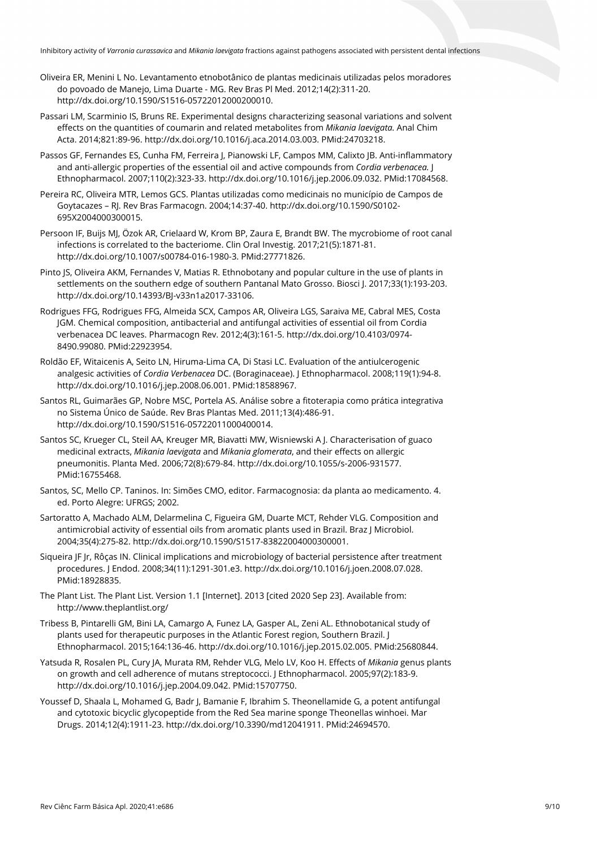- Oliveira ER, Menini L No. Levantamento etnobotânico de plantas medicinais utilizadas pelos moradores do povoado de Manejo, Lima Duarte - MG. Rev Bras Pl Med. 2012;14(2):311-20. [http://dx.doi.org/10.1590/S1516-05722012000200010.](https://doi.org/10.1590/S1516-05722012000200010)
- Passari LM, Scarminio IS, Bruns RE. Experimental designs characterizing seasonal variations and solvent effects on the quantities of coumarin and related metabolites from *Mikania laevigata.* Anal Chim Acta. 2014;821:89-96[. http://dx.doi.org/10.1016/j.aca.2014.03.003.](https://doi.org/10.1016/j.aca.2014.03.003) [PMid:24703218.](https://www.ncbi.nlm.nih.gov/entrez/query.fcgi?cmd=Retrieve&db=PubMed&list_uids=24703218&dopt=Abstract)
- Passos GF, Fernandes ES, Cunha FM, Ferreira J, Pianowski LF, Campos MM, Calixto JB. Anti-inflammatory and anti-allergic properties of the essential oil and active compounds from *Cordia verbenacea.* J Ethnopharmacol. 2007;110(2):323-33. [http://dx.doi.org/10.1016/j.jep.2006.09.032.](https://doi.org/10.1016/j.jep.2006.09.032) [PMid:17084568.](https://www.ncbi.nlm.nih.gov/entrez/query.fcgi?cmd=Retrieve&db=PubMed&list_uids=17084568&dopt=Abstract)
- Pereira RC, Oliveira MTR, Lemos GCS. Plantas utilizadas como medicinais no município de Campos de Goytacazes – RJ. Rev Bras Farmacogn. 2004;14:37-40. [http://dx.doi.org/10.1590/S0102-](https://doi.org/10.1590/S0102-695X2004000300015) [695X2004000300015.](https://doi.org/10.1590/S0102-695X2004000300015)
- Persoon IF, Buijs MJ, Özok AR, Crielaard W, Krom BP, Zaura E, Brandt BW. The mycrobiome of root canal infections is correlated to the bacteriome. Clin Oral Investig. 2017;21(5):1871-81. [http://dx.doi.org/10.1007/s00784-016-1980-3.](https://doi.org/10.1007/s00784-016-1980-3) [PMid:27771826.](https://www.ncbi.nlm.nih.gov/entrez/query.fcgi?cmd=Retrieve&db=PubMed&list_uids=27771826&dopt=Abstract)
- Pinto JS, Oliveira AKM, Fernandes V, Matias R. Ethnobotany and popular culture in the use of plants in settlements on the southern edge of southern Pantanal Mato Grosso. Biosci J. 2017;33(1):193-203. [http://dx.doi.org/10.14393/BJ-v33n1a2017-33106.](https://doi.org/10.14393/BJ-v33n1a2017-33106)
- Rodrigues FFG, Rodrigues FFG, Almeida SCX, Campos AR, Oliveira LGS, Saraiva ME, Cabral MES, Costa JGM. Chemical composition, antibacterial and antifungal activities of essential oil from Cordia verbenacea DC leaves. Pharmacogn Rev. 2012;4(3):161-5[. http://dx.doi.org/10.4103/0974-](https://doi.org/10.4103/0974-8490.99080) [8490.99080.](https://doi.org/10.4103/0974-8490.99080) [PMid:22923954.](https://www.ncbi.nlm.nih.gov/entrez/query.fcgi?cmd=Retrieve&db=PubMed&list_uids=22923954&dopt=Abstract)
- Roldão EF, Witaicenis A, Seito LN, Hiruma-Lima CA, Di Stasi LC. Evaluation of the antiulcerogenic analgesic activities of *Cordia Verbenacea* DC. (Boraginaceae). J Ethnopharmacol. 2008;119(1):94-8. [http://dx.doi.org/10.1016/j.jep.2008.06.001.](https://doi.org/10.1016/j.jep.2008.06.001) [PMid:18588967.](https://www.ncbi.nlm.nih.gov/entrez/query.fcgi?cmd=Retrieve&db=PubMed&list_uids=18588967&dopt=Abstract)
- Santos RL, Guimarães GP, Nobre MSC, Portela AS. Análise sobre a fitoterapia como prática integrativa no Sistema Único de Saúde. Rev Bras Plantas Med. 2011;13(4):486-91. [http://dx.doi.org/10.1590/S1516-05722011000400014.](https://doi.org/10.1590/S1516-05722011000400014)
- Santos SC, Krueger CL, Steil AA, Kreuger MR, Biavatti MW, Wisniewski A J. Characterisation of guaco medicinal extracts, *Mikania laevigata* and *Mikania glomerata*, and their effects on allergic pneumonitis. Planta Med. 2006;72(8):679-84[. http://dx.doi.org/10.1055/s-2006-931577](https://doi.org/10.1055/s-2006-931577)[.](https://www.ncbi.nlm.nih.gov/entrez/query.fcgi?cmd=Retrieve&db=PubMed&list_uids=16755468&dopt=Abstract) [PMid:16755468.](https://www.ncbi.nlm.nih.gov/entrez/query.fcgi?cmd=Retrieve&db=PubMed&list_uids=16755468&dopt=Abstract)
- Santos, SC, Mello CP. Taninos. In: Simões CMO, editor. Farmacognosia: da planta ao medicamento. 4. ed. Porto Alegre: UFRGS; 2002.
- Sartoratto A, Machado ALM, Delarmelina C, Figueira GM, Duarte MCT, Rehder VLG. Composition and antimicrobial activity of essential oils from aromatic plants used in Brazil. Braz J Microbiol. 2004;35(4):275-82. [http://dx.doi.org/10.1590/S1517-83822004000300001.](https://doi.org/10.1590/S1517-83822004000300001)
- Siqueira JF Jr, Rôças IN. Clinical implications and microbiology of bacterial persistence after treatment procedures. J Endod. 2008;34(11):1291-301.e3[. http://dx.doi.org/10.1016/j.joen.2008.07.028.](https://doi.org/10.1016/j.joen.2008.07.028) [PMid:18928835.](https://www.ncbi.nlm.nih.gov/entrez/query.fcgi?cmd=Retrieve&db=PubMed&list_uids=18928835&dopt=Abstract)
- The Plant List. The Plant List. Version 1.1 [Internet]. 2013 [cited 2020 Sep 23]. Available from: http://www.theplantlist.org/
- Tribess B, Pintarelli GM, Bini LA, Camargo A, Funez LA, Gasper AL, Zeni AL. Ethnobotanical study of plants used for therapeutic purposes in the Atlantic Forest region, Southern Brazil. J Ethnopharmacol. 2015;164:136-46[. http://dx.doi.org/10.1016/j.jep.2015.02.005.](https://doi.org/10.1016/j.jep.2015.02.005) [PMid:25680844.](https://www.ncbi.nlm.nih.gov/entrez/query.fcgi?cmd=Retrieve&db=PubMed&list_uids=25680844&dopt=Abstract)
- Yatsuda R, Rosalen PL, Cury JA, Murata RM, Rehder VLG, Melo LV, Koo H. Effects of *Mikania* genus plants on growth and cell adherence of mutans streptococci. J Ethnopharmacol. 2005;97(2):183-9. [http://dx.doi.org/10.1016/j.jep.2004.09.042.](https://doi.org/10.1016/j.jep.2004.09.042) [PMid:15707750.](https://www.ncbi.nlm.nih.gov/entrez/query.fcgi?cmd=Retrieve&db=PubMed&list_uids=15707750&dopt=Abstract)
- Youssef D, Shaala L, Mohamed G, Badr J, Bamanie F, Ibrahim S. Theonellamide G, a potent antifungal and cytotoxic bicyclic glycopeptide from the Red Sea marine sponge Theonellas winhoei. Mar Drugs. 2014;12(4):1911-23[. http://dx.doi.org/10.3390/md12041911.](https://doi.org/10.3390/md12041911) [PMid:24694570.](https://www.ncbi.nlm.nih.gov/entrez/query.fcgi?cmd=Retrieve&db=PubMed&list_uids=24694570&dopt=Abstract)